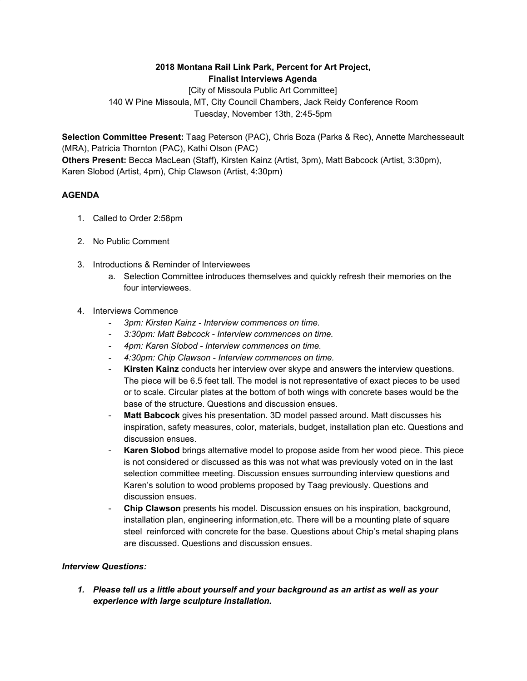## **2018 Montana Rail Link Park, Percent for Art Project, Finalist Interviews Agenda**

[City of Missoula Public Art Committee] 140 W Pine Missoula, MT, City Council Chambers, Jack Reidy Conference Room Tuesday, November 13th, 2:45-5pm

**Selection Committee Present:** Taag Peterson (PAC), Chris Boza (Parks & Rec), Annette Marchesseault (MRA), Patricia Thornton (PAC), Kathi Olson (PAC) **Others Present:** Becca MacLean (Staff), Kirsten Kainz (Artist, 3pm), Matt Babcock (Artist, 3:30pm), Karen Slobod (Artist, 4pm), Chip Clawson (Artist, 4:30pm)

## **AGENDA**

- 1. Called to Order 2:58pm
- 2. No Public Comment
- 3. Introductions & Reminder of Interviewees
	- a. Selection Committee introduces themselves and quickly refresh their memories on the four interviewees.
- 4. Interviews Commence
	- *- 3pm: Kirsten Kainz - Interview commences on time.*
	- *- 3:30pm: Matt Babcock - Interview commences on time.*
	- *- 4pm: Karen Slobod - Interview commences on time.*
	- *- 4:30pm: Chip Clawson - Interview commences on time.*
	- **Kirsten Kainz** conducts her interview over skype and answers the interview questions. The piece will be 6.5 feet tall. The model is not representative of exact pieces to be used or to scale. Circular plates at the bottom of both wings with concrete bases would be the base of the structure. Questions and discussion ensues.
	- Matt Babcock gives his presentation. 3D model passed around. Matt discusses his inspiration, safety measures, color, materials, budget, installation plan etc. Questions and discussion ensues.
	- **Karen Slobod** brings alternative model to propose aside from her wood piece. This piece is not considered or discussed as this was not what was previously voted on in the last selection committee meeting. Discussion ensues surrounding interview questions and Karen's solution to wood problems proposed by Taag previously. Questions and discussion ensues.
	- **Chip Clawson** presents his model. Discussion ensues on his inspiration, background, installation plan, engineering information,etc. There will be a mounting plate of square steel reinforced with concrete for the base. Questions about Chip's metal shaping plans are discussed. Questions and discussion ensues.

## *Interview Questions:*

*1. Please tell us a little about yourself and your background as an artist as well as your experience with large sculpture installation.*